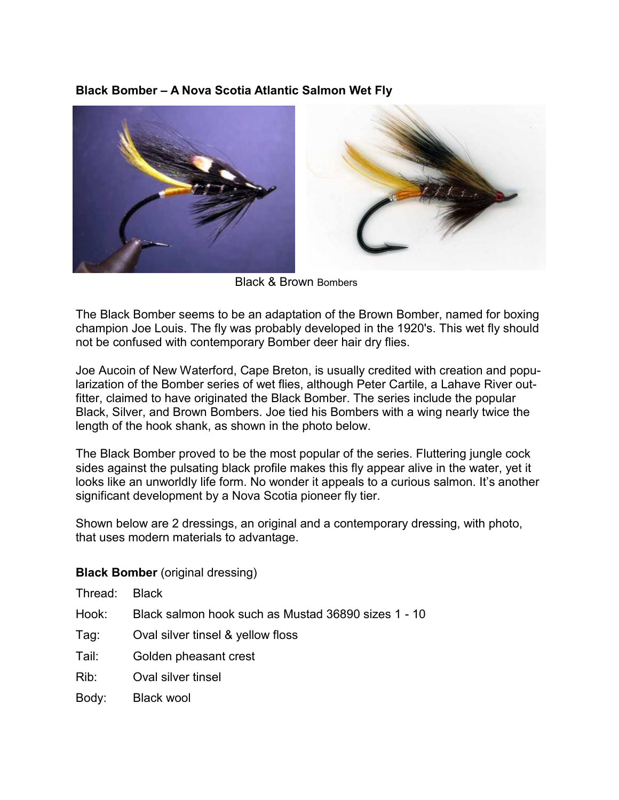## **Black Bomber – A Nova Scotia Atlantic Salmon Wet Fly**



Black & Brown Bombers

The Black Bomber seems to be an adaptation of the Brown Bomber, named for boxing champion Joe Louis. The fly was probably developed in the 1920's. This wet fly should not be confused with contemporary Bomber deer hair dry flies.

Joe Aucoin of New Waterford, Cape Breton, is usually credited with creation and popularization of the Bomber series of wet flies, although Peter Cartile, a Lahave River outfitter, claimed to have originated the Black Bomber. The series include the popular Black, Silver, and Brown Bombers. Joe tied his Bombers with a wing nearly twice the length of the hook shank, as shown in the photo below.

The Black Bomber proved to be the most popular of the series. Fluttering jungle cock sides against the pulsating black profile makes this fly appear alive in the water, yet it looks like an unworldly life form. No wonder it appeals to a curious salmon. It's another significant development by a Nova Scotia pioneer fly tier.

Shown below are 2 dressings, an original and a contemporary dressing, with photo, that uses modern materials to advantage.

## **Black Bomber** (original dressing)

- Hook: Black salmon hook such as Mustad 36890 sizes 1 10
- Tag: Oval silver tinsel & yellow floss
- Tail: Golden pheasant crest
- Rib: Oval silver tinsel
- Body: Black wool